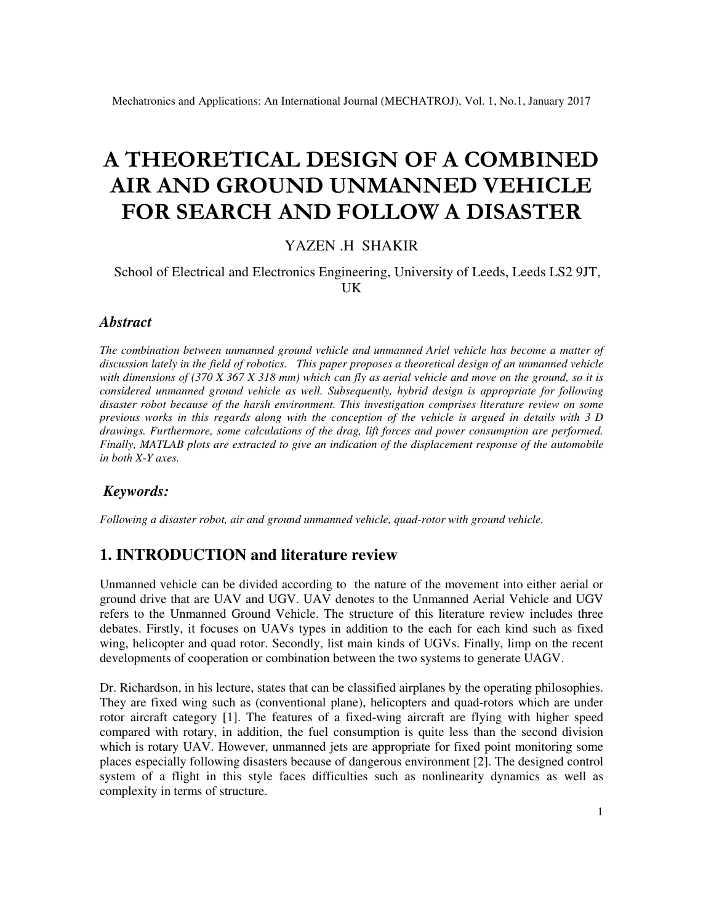# **A THEORETICAL DESIGN OF A COMBINED AIR AND GROUND UNMANNED VEHICLE FOR SEARCH AND FOLLOW A DISASTER**

## YAZEN .H SHAKIR

#### School of Electrical and Electronics Engineering, University of Leeds, Leeds LS2 9JT, UK

#### *Abstract*

*The combination between unmanned ground vehicle and unmanned Ariel vehicle has become a matter of discussion lately in the field of robotics. This paper proposes a theoretical design of an unmanned vehicle with dimensions of (370 X 367 X 318 mm) which can fly as aerial vehicle and move on the ground, so it is considered unmanned ground vehicle as well. Subsequently, hybrid design is appropriate for following disaster robot because of the harsh environment. This investigation comprises literature review on some previous works in this regards along with the conception of the vehicle is argued in details with 3 D drawings. Furthermore, some calculations of the drag, lift forces and power consumption are performed. Finally, MATLAB plots are extracted to give an indication of the displacement response of the automobile in both X-Y axes.* 

#### *Keywords:*

*Following a disaster robot, air and ground unmanned vehicle, quad-rotor with ground vehicle.* 

## **1. INTRODUCTION and literature review**

Unmanned vehicle can be divided according to the nature of the movement into either aerial or ground drive that are UAV and UGV. UAV denotes to the Unmanned Aerial Vehicle and UGV refers to the Unmanned Ground Vehicle. The structure of this literature review includes three debates. Firstly, it focuses on UAVs types in addition to the each for each kind such as fixed wing, helicopter and quad rotor. Secondly, list main kinds of UGVs. Finally, limp on the recent developments of cooperation or combination between the two systems to generate UAGV.

Dr. Richardson, in his lecture, states that can be classified airplanes by the operating philosophies. They are fixed wing such as (conventional plane), helicopters and quad-rotors which are under rotor aircraft category [1]. The features of a fixed-wing aircraft are flying with higher speed compared with rotary, in addition, the fuel consumption is quite less than the second division which is rotary UAV. However, unmanned jets are appropriate for fixed point monitoring some places especially following disasters because of dangerous environment [2]. The designed control system of a flight in this style faces difficulties such as nonlinearity dynamics as well as complexity in terms of structure.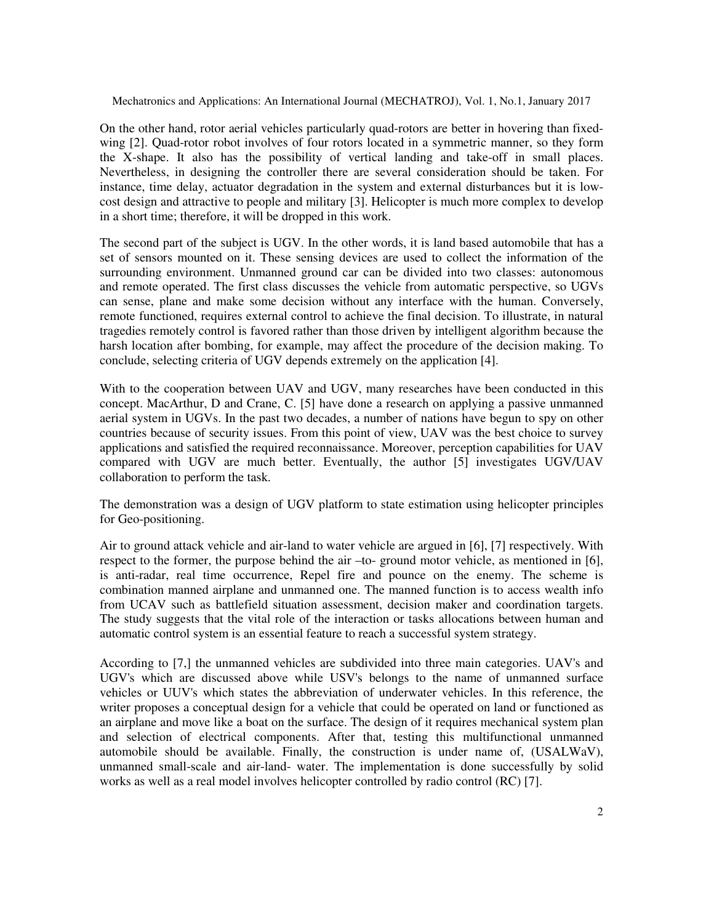On the other hand, rotor aerial vehicles particularly quad-rotors are better in hovering than fixedwing [2]. Quad-rotor robot involves of four rotors located in a symmetric manner, so they form the X-shape. It also has the possibility of vertical landing and take-off in small places. Nevertheless, in designing the controller there are several consideration should be taken. For instance, time delay, actuator degradation in the system and external disturbances but it is lowcost design and attractive to people and military [3]. Helicopter is much more complex to develop in a short time; therefore, it will be dropped in this work.

The second part of the subject is UGV. In the other words, it is land based automobile that has a set of sensors mounted on it. These sensing devices are used to collect the information of the surrounding environment. Unmanned ground car can be divided into two classes: autonomous and remote operated. The first class discusses the vehicle from automatic perspective, so UGVs can sense, plane and make some decision without any interface with the human. Conversely, remote functioned, requires external control to achieve the final decision. To illustrate, in natural tragedies remotely control is favored rather than those driven by intelligent algorithm because the harsh location after bombing, for example, may affect the procedure of the decision making. To conclude, selecting criteria of UGV depends extremely on the application [4].

With to the cooperation between UAV and UGV, many researches have been conducted in this concept. MacArthur, D and Crane, C. [5] have done a research on applying a passive unmanned aerial system in UGVs. In the past two decades, a number of nations have begun to spy on other countries because of security issues. From this point of view, UAV was the best choice to survey applications and satisfied the required reconnaissance. Moreover, perception capabilities for UAV compared with UGV are much better. Eventually, the author [5] investigates UGV/UAV collaboration to perform the task.

The demonstration was a design of UGV platform to state estimation using helicopter principles for Geo-positioning.

Air to ground attack vehicle and air-land to water vehicle are argued in [6], [7] respectively. With respect to the former, the purpose behind the air –to- ground motor vehicle, as mentioned in [6], is anti-radar, real time occurrence, Repel fire and pounce on the enemy. The scheme is combination manned airplane and unmanned one. The manned function is to access wealth info from UCAV such as battlefield situation assessment, decision maker and coordination targets. The study suggests that the vital role of the interaction or tasks allocations between human and automatic control system is an essential feature to reach a successful system strategy.

According to [7,] the unmanned vehicles are subdivided into three main categories. UAV's and UGV's which are discussed above while USV's belongs to the name of unmanned surface vehicles or UUV's which states the abbreviation of underwater vehicles. In this reference, the writer proposes a conceptual design for a vehicle that could be operated on land or functioned as an airplane and move like a boat on the surface. The design of it requires mechanical system plan and selection of electrical components. After that, testing this multifunctional unmanned automobile should be available. Finally, the construction is under name of, (USALWaV), unmanned small-scale and air-land- water. The implementation is done successfully by solid works as well as a real model involves helicopter controlled by radio control (RC) [7].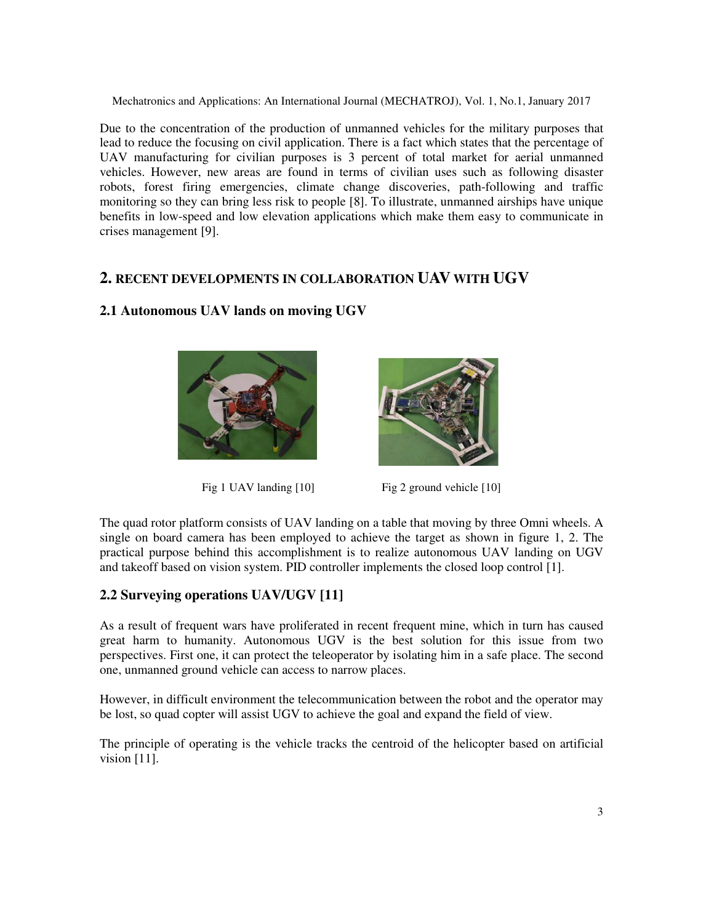Due to the concentration of the production of unmanned vehicles for the military purposes that lead to reduce the focusing on civil application. There is a fact which states that the percentage of UAV manufacturing for civilian purposes is 3 percent of total market for aerial unmanned vehicles. However, new areas are found in terms of civilian uses such as following disaster robots, forest firing emergencies, climate change discoveries, path-following and traffic monitoring so they can bring less risk to people [8]. To illustrate, unmanned airships have unique benefits in low-speed and low elevation applications which make them easy to communicate in crises management [9].

# **2. RECENT DEVELOPMENTS IN COLLABORATION UAV WITH UGV**



## **2.1 Autonomous UAV lands on moving UGV**



Fig 1 UAV landing [10] Fig 2 ground vehicle [10]

The quad rotor platform consists of UAV landing on a table that moving by three Omni wheels. A single on board camera has been employed to achieve the target as shown in figure 1, 2. The practical purpose behind this accomplishment is to realize autonomous UAV landing on UGV and takeoff based on vision system. PID controller implements the closed loop control [1].

# **2.2 Surveying operations UAV/UGV [11]**

As a result of frequent wars have proliferated in recent frequent mine, which in turn has caused great harm to humanity. Autonomous UGV is the best solution for this issue from two perspectives. First one, it can protect the teleoperator by isolating him in a safe place. The second one, unmanned ground vehicle can access to narrow places.

However, in difficult environment the telecommunication between the robot and the operator may be lost, so quad copter will assist UGV to achieve the goal and expand the field of view.

The principle of operating is the vehicle tracks the centroid of the helicopter based on artificial vision [11].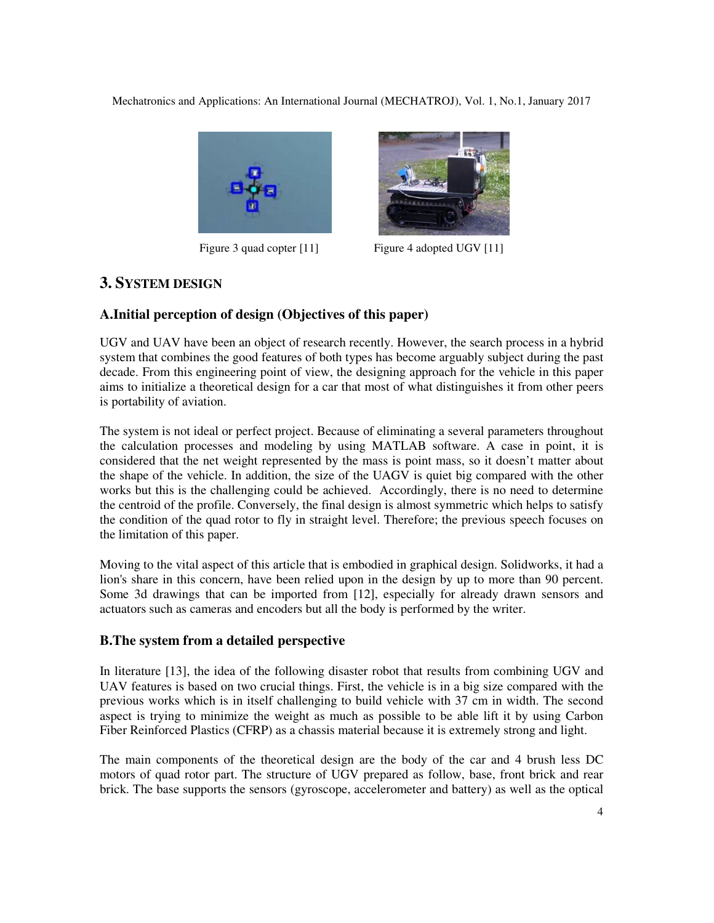



Figure 3 quad copter [11] Figure 4 adopted UGV [11]

# **3. SYSTEM DESIGN**

## **A.Initial perception of design (Objectives of this paper)**

UGV and UAV have been an object of research recently. However, the search process in a hybrid system that combines the good features of both types has become arguably subject during the past decade. From this engineering point of view, the designing approach for the vehicle in this paper aims to initialize a theoretical design for a car that most of what distinguishes it from other peers is portability of aviation.

The system is not ideal or perfect project. Because of eliminating a several parameters throughout the calculation processes and modeling by using MATLAB software. A case in point, it is considered that the net weight represented by the mass is point mass, so it doesn't matter about the shape of the vehicle. In addition, the size of the UAGV is quiet big compared with the other works but this is the challenging could be achieved. Accordingly, there is no need to determine the centroid of the profile. Conversely, the final design is almost symmetric which helps to satisfy the condition of the quad rotor to fly in straight level. Therefore; the previous speech focuses on the limitation of this paper.

Moving to the vital aspect of this article that is embodied in graphical design. Solidworks, it had a lion's share in this concern, have been relied upon in the design by up to more than 90 percent. Some 3d drawings that can be imported from [12], especially for already drawn sensors and actuators such as cameras and encoders but all the body is performed by the writer.

## **B.The system from a detailed perspective**

In literature [13], the idea of the following disaster robot that results from combining UGV and UAV features is based on two crucial things. First, the vehicle is in a big size compared with the previous works which is in itself challenging to build vehicle with 37 cm in width. The second aspect is trying to minimize the weight as much as possible to be able lift it by using Carbon Fiber Reinforced Plastics (CFRP) as a chassis material because it is extremely strong and light.

The main components of the theoretical design are the body of the car and 4 brush less DC motors of quad rotor part. The structure of UGV prepared as follow, base, front brick and rear brick. The base supports the sensors (gyroscope, accelerometer and battery) as well as the optical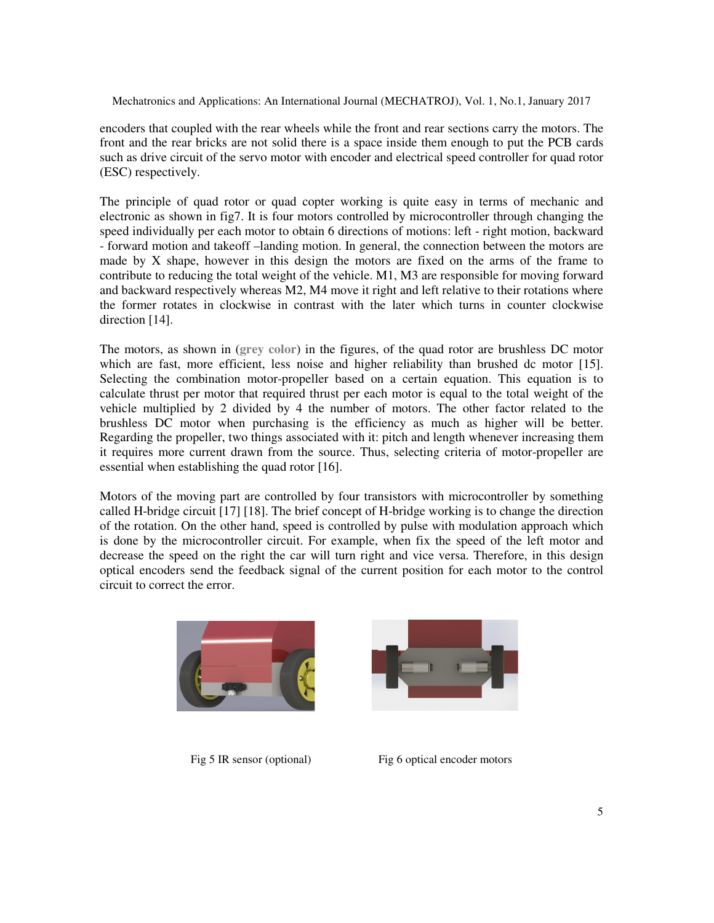encoders that coupled with the rear wheels while the front and rear sections carry the motors. The front and the rear bricks are not solid there is a space inside them enough to put the PCB cards such as drive circuit of the servo motor with encoder and electrical speed controller for quad rotor (ESC) respectively.

The principle of quad rotor or quad copter working is quite easy in terms of mechanic and electronic as shown in fig7. It is four motors controlled by microcontroller through changing the speed individually per each motor to obtain 6 directions of motions: left - right motion, backward - forward motion and takeoff –landing motion. In general, the connection between the motors are made by X shape, however in this design the motors are fixed on the arms of the frame to contribute to reducing the total weight of the vehicle. M1, M3 are responsible for moving forward and backward respectively whereas M2, M4 move it right and left relative to their rotations where the former rotates in clockwise in contrast with the later which turns in counter clockwise direction [14].

The motors, as shown in (**grey color**) in the figures, of the quad rotor are brushless DC motor which are fast, more efficient, less noise and higher reliability than brushed dc motor [15]. Selecting the combination motor-propeller based on a certain equation. This equation is to calculate thrust per motor that required thrust per each motor is equal to the total weight of the vehicle multiplied by 2 divided by 4 the number of motors. The other factor related to the brushless DC motor when purchasing is the efficiency as much as higher will be better. Regarding the propeller, two things associated with it: pitch and length whenever increasing them it requires more current drawn from the source. Thus, selecting criteria of motor-propeller are essential when establishing the quad rotor [16].

Motors of the moving part are controlled by four transistors with microcontroller by something called H-bridge circuit [17] [18]. The brief concept of H-bridge working is to change the direction of the rotation. On the other hand, speed is controlled by pulse with modulation approach which is done by the microcontroller circuit. For example, when fix the speed of the left motor and decrease the speed on the right the car will turn right and vice versa. Therefore, in this design optical encoders send the feedback signal of the current position for each motor to the control circuit to correct the error.





Fig 5 IR sensor (optional) Fig 6 optical encoder motors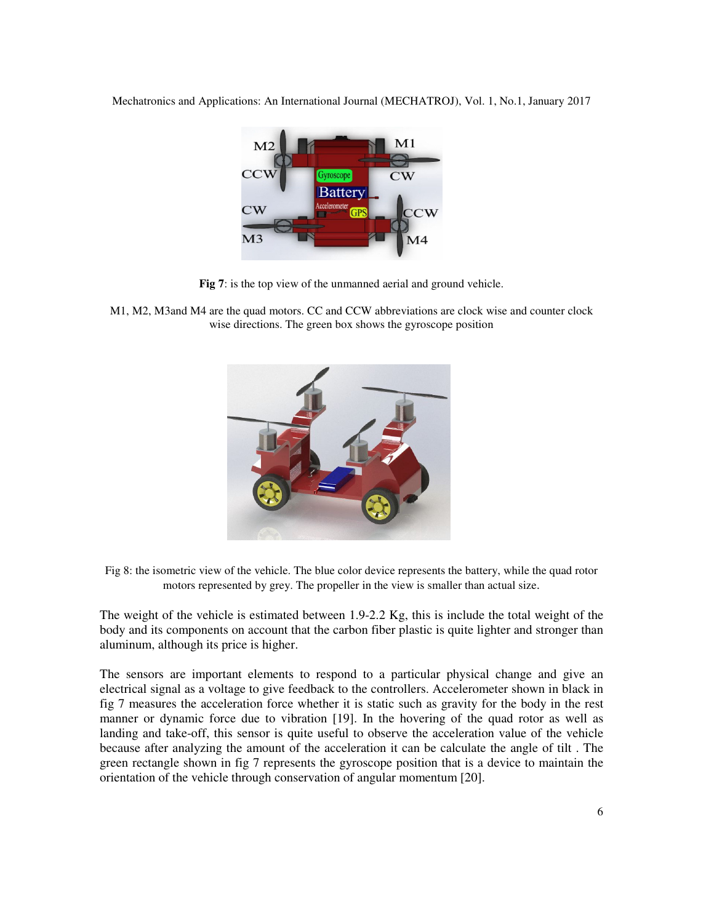

**Fig 7**: is the top view of the unmanned aerial and ground vehicle.

M1, M2, M3and M4 are the quad motors. CC and CCW abbreviations are clock wise and counter clock wise directions. The green box shows the gyroscope position



Fig 8: the isometric view of the vehicle. The blue color device represents the battery, while the quad rotor motors represented by grey. The propeller in the view is smaller than actual size.

The weight of the vehicle is estimated between 1.9-2.2 Kg, this is include the total weight of the body and its components on account that the carbon fiber plastic is quite lighter and stronger than aluminum, although its price is higher.

The sensors are important elements to respond to a particular physical change and give an electrical signal as a voltage to give feedback to the controllers. Accelerometer shown in black in fig 7 measures the acceleration force whether it is static such as gravity for the body in the rest manner or dynamic force due to vibration [19]. In the hovering of the quad rotor as well as landing and take-off, this sensor is quite useful to observe the acceleration value of the vehicle because after analyzing the amount of the acceleration it can be calculate the angle of tilt . The green rectangle shown in fig 7 represents the gyroscope position that is a device to maintain the orientation of the vehicle through conservation of angular momentum [20].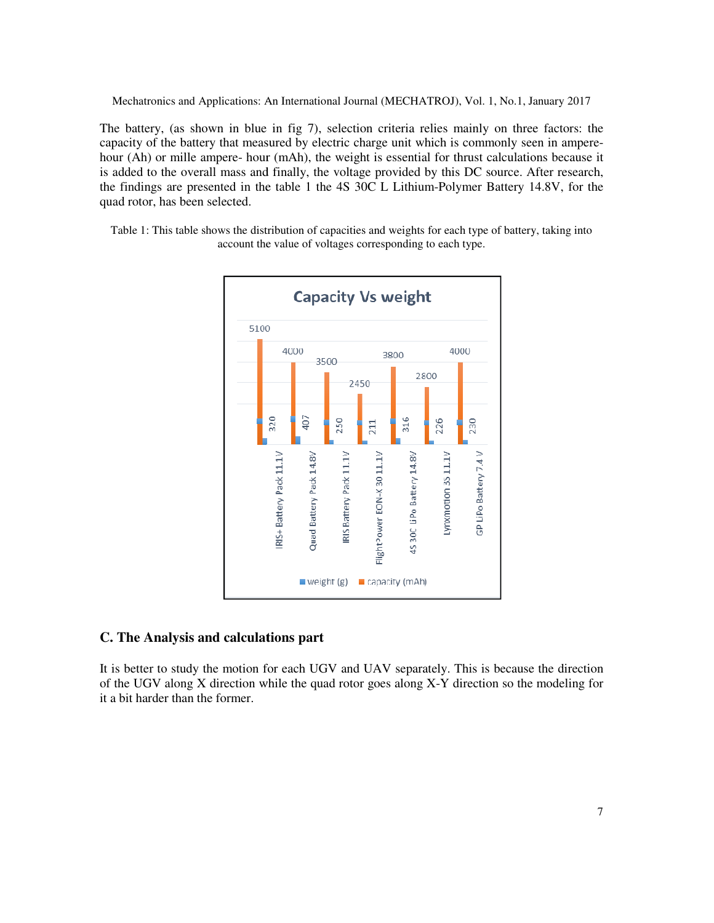The battery, (as shown in blue in fig 7), selection criteria relies mainly on three factors: the The battery, (as shown in blue in fig 7), selection criteria relies mainly on three factors: the capacity of the battery that measured by electric charge unit which is commonly seen in amperehour (Ah) or mille ampere- hour (mAh), the weight is essential for thrust calculations because it capacity of the battery that measured by electric charge unit which is commonly seen in ampere-<br>hour (Ah) or mille ampere- hour (mAh), the weight is essential for thrust calculations because it<br>is added to the overall mass the findings are presented in the table 1 the 4S 30C L Lithium-Polymer Battery 14.8V, for the quad rotor, has been selected.

Table 1: This table shows the distribution of capacities and weights for each type of battery, taking into account the value of voltages corresponding to each type.



#### **C. The Analysis and calculations part**

It is better to study the motion for each UGV and UAV separately. This is because the direction It is better to study the motion for each UGV and UAV separately. This is because the direction of the UGV along X direction while the quad rotor goes along X-Y direction so the modeling for it a bit harder than the former.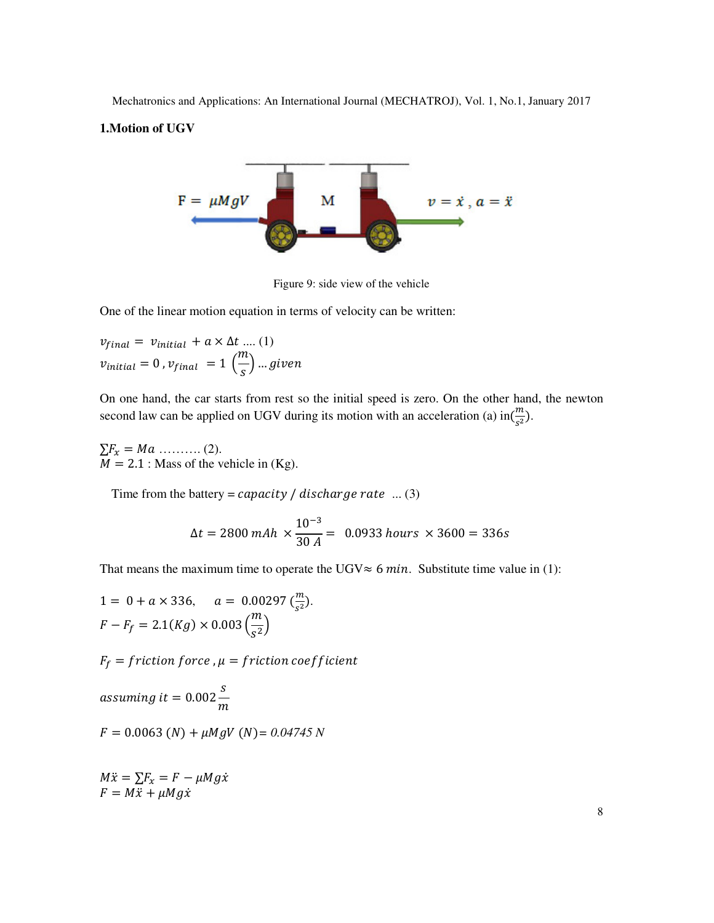#### **1.Motion of UGV**



Figure 9: side view of the vehicle

One of the linear motion equation in terms of velocity can be written:

$$
v_{final} = v_{initial} + a \times \Delta t \dots (1)
$$
  

$$
v_{initial} = 0, v_{final} = 1 \left(\frac{m}{s}\right) \dots given
$$

On one hand, the car starts from rest so the initial speed is zero. On the other hand, the newton second law can be applied on UGV during its motion with an acceleration (a) in $(\frac{m}{c^2})$  $\frac{m}{s^2}$ ).

 $\Sigma F_x = Ma$  ………. (2).  $M = 2.1$ : Mass of the vehicle in (Kg).

Time from the battery =  $capacity / discharge rate$  ... (3)

$$
\Delta t = 2800 \text{ mA}h \times \frac{10^{-3}}{30 \text{ A}} = 0.0933 \text{ hours} \times 3600 = 336 \text{s}
$$

That means the maximum time to operate the UGV $\approx$  6 min. Substitute time value in (1):

 $1 = 0 + a \times 336, \quad a = 0.00297 \left(\frac{m}{s^2}\right).$  $F - F_f = 2.1(Kg) \times 0.003 \left(\frac{m}{s^2}\right)$ 

 $F_f = f$ riction  $force$  ,  $\mu = f$ riction coe $f$ ficient

assuming it  $= 0.002$ S  $\boldsymbol{m}$ 

$$
F = 0.0063 (N) + \mu M gV (N) = 0.04745 N
$$

 $M\ddot{x} = \sum F_x = F - \mu Mg\dot{x}$  $F = M\ddot{x} + \mu Mg\dot{x}$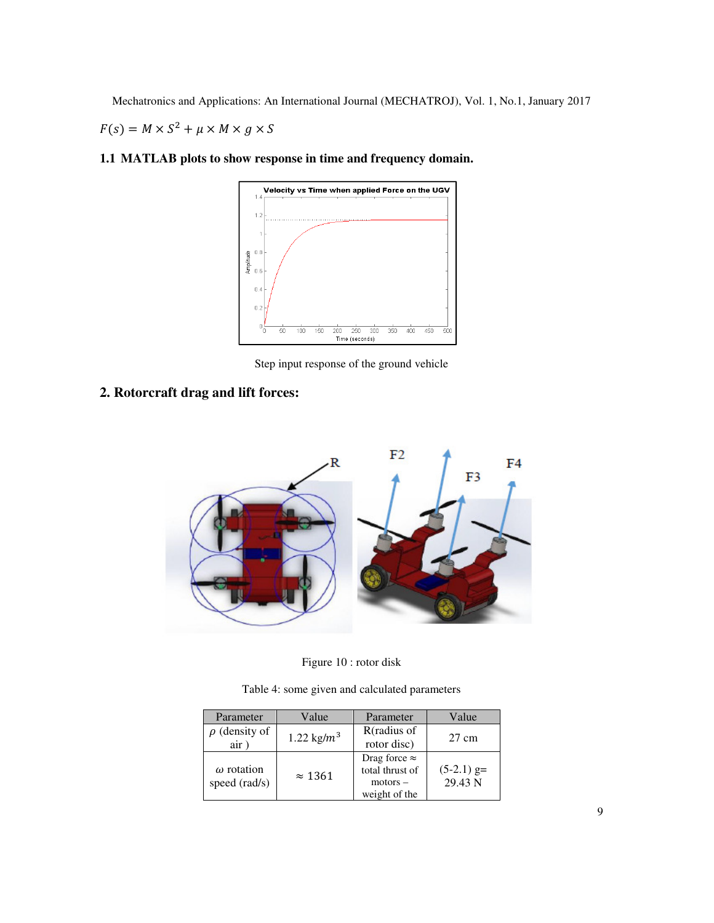$F(s) = M \times S^2 + \mu \times M \times g \times S$ 



**1.1 MATLAB plots to show response in time and frequency domain.** 

Step input response of the ground vehicle

**2. Rotorcraft drag and lift forces:** 



Figure 10 : rotor disk

Table 4: some given and calculated parameters

| Parameter                          | Value          | Parameter            | Value        |
|------------------------------------|----------------|----------------------|--------------|
| $\rho$ (density of                 | 1.22 kg/ $m^3$ | R(radius of          | 27 cm        |
| air)                               |                | rotor disc)          |              |
| $\omega$ rotation<br>speed (rad/s) | $\approx$ 1361 | Drag force $\approx$ |              |
|                                    |                | total thrust of      | $(5-2.1)$ g= |
|                                    |                | motors –             | 29.43 N      |
|                                    |                | weight of the        |              |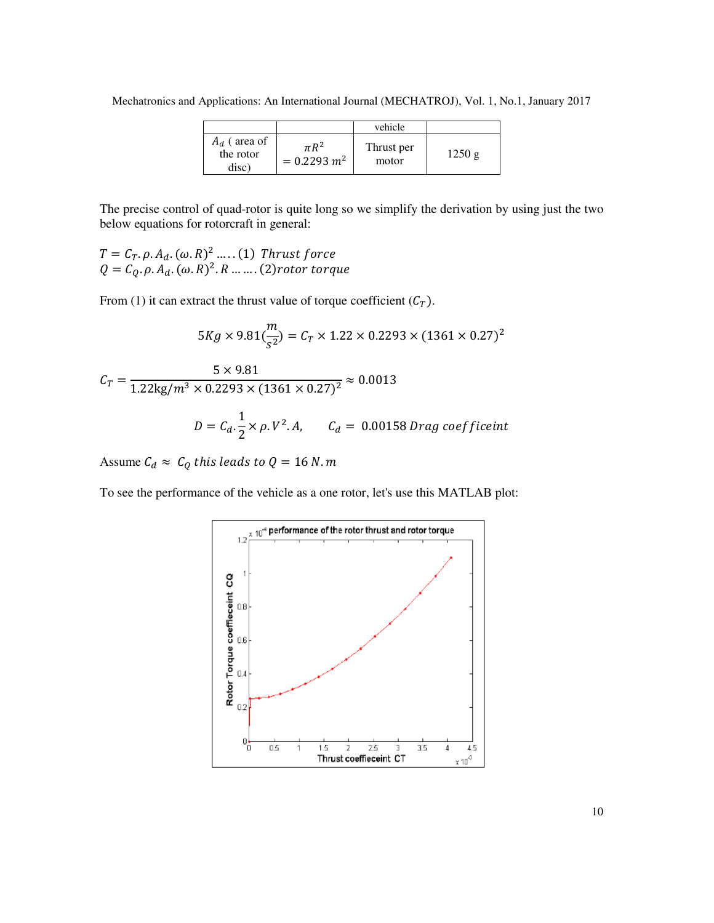Mechatronics and Applications: An International Journal (MECHATROJ), Vol. 1, No.1, January 2017

|                                      |                             | vehicle             |       |
|--------------------------------------|-----------------------------|---------------------|-------|
| $A_d$ (area of<br>the rotor<br>disc` | $\pi R^2$<br>$= 0.2293 m^2$ | Thrust per<br>motor | 1250g |

The precise control of quad-rotor is quite long so we simplify the derivation by using just the two below equations for rotorcraft in general:

 $T = C_T. \rho. A_d. (\omega. R)^2 \dots . (1)$  Thrust force  $Q = C_Q. \rho. A_d. (\omega. R)^2. R ....... (2) rotor torque$ 

From (1) it can extract the thrust value of torque coefficient  $(C_T)$ .

$$
5Kg \times 9.81(\frac{m}{s^2}) = C_T \times 1.22 \times 0.2293 \times (1361 \times 0.27)^2
$$
  

$$
C_T = \frac{5 \times 9.81}{1.22 \text{kg/m}^3 \times 0.2293 \times (1361 \times 0.27)^2} \approx 0.0013
$$
  

$$
D = C_d \cdot \frac{1}{2} \times \rho. V^2.A, \qquad C_d = 0.00158 \text{ Drag coefficient}
$$

Assume  $C_d \approx C_Q$  this leads to  $Q = 16$  N.m

To see the performance of the vehicle as a one rotor, let's use this MATLAB plot:

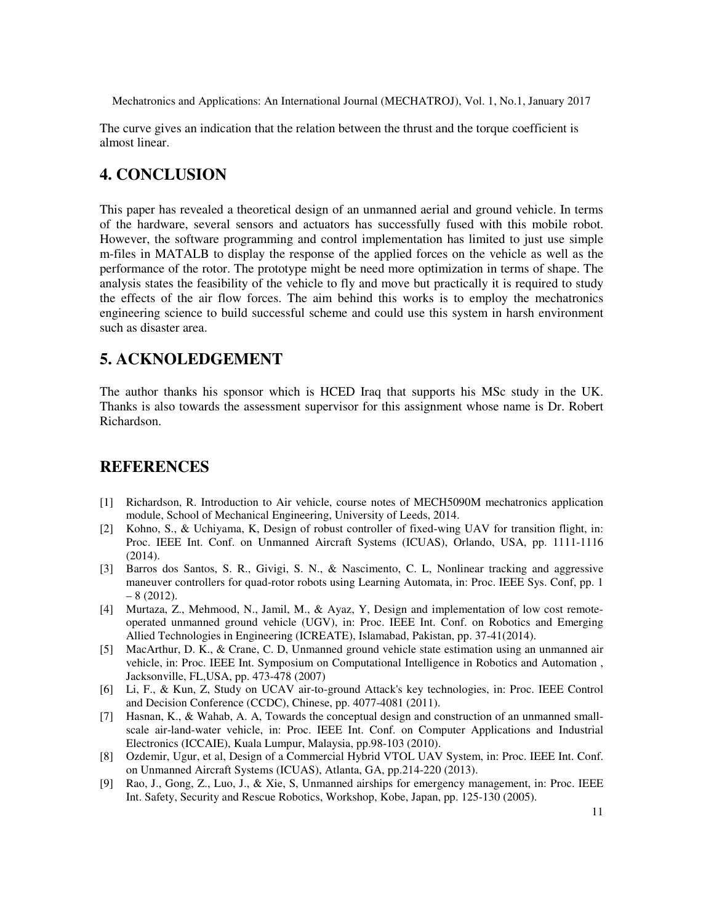The curve gives an indication that the relation between the thrust and the torque coefficient is almost linear.

# **4. CONCLUSION**

This paper has revealed a theoretical design of an unmanned aerial and ground vehicle. In terms of the hardware, several sensors and actuators has successfully fused with this mobile robot. However, the software programming and control implementation has limited to just use simple m-files in MATALB to display the response of the applied forces on the vehicle as well as the performance of the rotor. The prototype might be need more optimization in terms of shape. The analysis states the feasibility of the vehicle to fly and move but practically it is required to study the effects of the air flow forces. The aim behind this works is to employ the mechatronics engineering science to build successful scheme and could use this system in harsh environment such as disaster area.

# **5. ACKNOLEDGEMENT**

The author thanks his sponsor which is HCED Iraq that supports his MSc study in the UK. Thanks is also towards the assessment supervisor for this assignment whose name is Dr. Robert Richardson.

# **REFERENCES**

- [1] Richardson, R. Introduction to Air vehicle, course notes of MECH5090M mechatronics application module, School of Mechanical Engineering, University of Leeds, 2014.
- [2] Kohno, S., & Uchiyama, K, Design of robust controller of fixed-wing UAV for transition flight, in: Proc. IEEE Int. Conf. on Unmanned Aircraft Systems (ICUAS), Orlando, USA, pp. 1111-1116 (2014).
- [3] Barros dos Santos, S. R., Givigi, S. N., & Nascimento, C. L, Nonlinear tracking and aggressive maneuver controllers for quad-rotor robots using Learning Automata, in: Proc. IEEE Sys. Conf, pp. 1  $-8(2012).$
- [4] Murtaza, Z., Mehmood, N., Jamil, M., & Ayaz, Y, Design and implementation of low cost remoteoperated unmanned ground vehicle (UGV), in: Proc. IEEE Int. Conf. on Robotics and Emerging Allied Technologies in Engineering (ICREATE), Islamabad, Pakistan, pp. 37-41(2014).
- [5] MacArthur, D. K., & Crane, C. D, Unmanned ground vehicle state estimation using an unmanned air vehicle, in: Proc. IEEE Int. Symposium on Computational Intelligence in Robotics and Automation , Jacksonville, FL,USA, pp. 473-478 (2007)
- [6] Li, F., & Kun, Z, Study on UCAV air-to-ground Attack's key technologies, in: Proc. IEEE Control and Decision Conference (CCDC), Chinese, pp. 4077-4081 (2011).
- [7] Hasnan, K., & Wahab, A. A, Towards the conceptual design and construction of an unmanned smallscale air-land-water vehicle, in: Proc. IEEE Int. Conf. on Computer Applications and Industrial Electronics (ICCAIE), Kuala Lumpur, Malaysia, pp.98-103 (2010).
- [8] Ozdemir, Ugur, et al, Design of a Commercial Hybrid VTOL UAV System, in: Proc. IEEE Int. Conf. on Unmanned Aircraft Systems (ICUAS), Atlanta, GA, pp.214-220 (2013).
- [9] Rao, J., Gong, Z., Luo, J., & Xie, S, Unmanned airships for emergency management, in: Proc. IEEE Int. Safety, Security and Rescue Robotics, Workshop, Kobe, Japan, pp. 125-130 (2005).